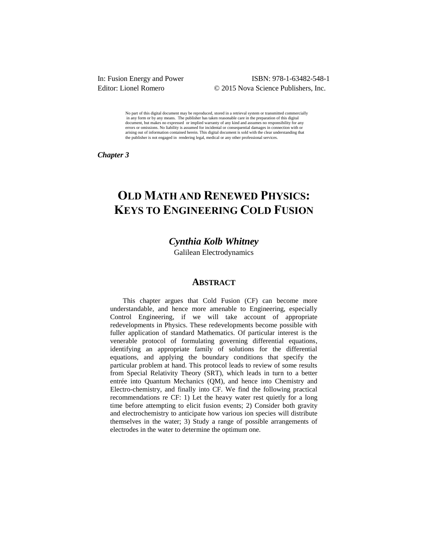## In: Fusion Energy and Power ISBN: 978-1-63482-548-1 Editor: Lionel Romero © 2015 Nova Science Publishers, Inc.

No part of this digital document may be reproduced, stored in a retrieval system or transmitted commercially in any form or by any means. The publisher has taken reasonable care in the preparation of this digital document, but makes no expressed or implied warranty of any kind and assumes no responsibility for any errors or omissions. No liability is assumed for incidental or consequential damages in connection with or arising out of information contained herein. This digital document is sold with the clear understanding that the publisher is not engaged in rendering legal, medical or any other professional services.

*Chapter 3* 

# **OLD MATH AND RENEWED PHYSICS: KEYS TO ENGINEERING COLD FUSION**

# *Cynthia Kolb Whitney*

Galilean Electrodynamics

### **ABSTRACT**

This chapter argues that Cold Fusion (CF) can become more understandable, and hence more amenable to Engineering, especially Control Engineering, if we will take account of appropriate redevelopments in Physics. These redevelopments become possible with fuller application of standard Mathematics. Of particular interest is the venerable protocol of formulating governing differential equations, identifying an appropriate family of solutions for the differential equations, and applying the boundary conditions that specify the particular problem at hand. This protocol leads to review of some results from Special Relativity Theory (SRT), which leads in turn to a better entrée into Quantum Mechanics (QM), and hence into Chemistry and Electro-chemistry, and finally into CF. We find the following practical recommendations re CF: 1) Let the heavy water rest quietly for a long time before attempting to elicit fusion events; 2) Consider both gravity and electrochemistry to anticipate how various ion species will distribute themselves in the water; 3) Study a range of possible arrangements of electrodes in the water to determine the optimum one.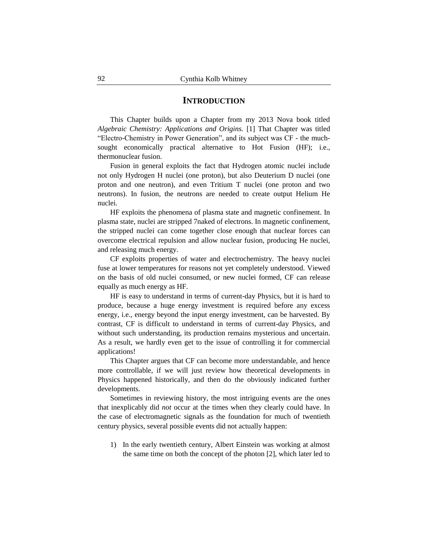#### **INTRODUCTION**

This Chapter builds upon a Chapter from my 2013 Nova book titled *Algebraic Chemistry: Applications and Origins.* [1] That Chapter was titled "Electro-Chemistry in Power Generation", and its subject was CF - the muchsought economically practical alternative to Hot Fusion (HF); i.e., thermonuclear fusion.

Fusion in general exploits the fact that Hydrogen atomic nuclei include not only Hydrogen H nuclei (one proton), but also Deuterium D nuclei (one proton and one neutron), and even Tritium T nuclei (one proton and two neutrons). In fusion, the neutrons are needed to create output Helium He nuclei.

HF exploits the phenomena of plasma state and magnetic confinement. In plasma state, nuclei are stripped 7naked of electrons. In magnetic confinement, the stripped nuclei can come together close enough that nuclear forces can overcome electrical repulsion and allow nuclear fusion, producing He nuclei, and releasing much energy.

CF exploits properties of water and electrochemistry. The heavy nuclei fuse at lower temperatures for reasons not yet completely understood. Viewed on the basis of old nuclei consumed, or new nuclei formed, CF can release equally as much energy as HF.

HF is easy to understand in terms of current-day Physics, but it is hard to produce, because a huge energy investment is required before any excess energy, i.e., energy beyond the input energy investment, can be harvested. By contrast, CF is difficult to understand in terms of current-day Physics, and without such understanding, its production remains mysterious and uncertain. As a result, we hardly even get to the issue of controlling it for commercial applications!

This Chapter argues that CF can become more understandable, and hence more controllable, if we will just review how theoretical developments in Physics happened historically, and then do the obviously indicated further developments.

Sometimes in reviewing history, the most intriguing events are the ones that inexplicably did *not* occur at the times when they clearly could have. In the case of electromagnetic signals as the foundation for much of twentieth century physics, several possible events did not actually happen:

1) In the early twentieth century, Albert Einstein was working at almost the same time on both the concept of the photon [2], which later led to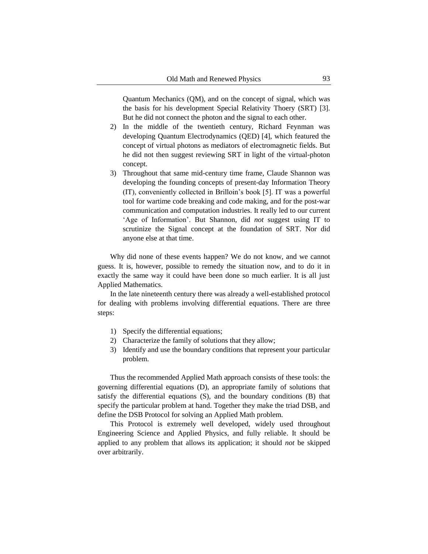Quantum Mechanics (QM), and on the concept of signal, which was the basis for his development Special Relativity Thoery (SRT) [3]. But he did not connect the photon and the signal to each other.

- 2) In the middle of the twentieth century, Richard Feynman was developing Quantum Electrodynamics (QED) [4], which featured the concept of virtual photons as mediators of electromagnetic fields. But he did not then suggest reviewing SRT in light of the virtual-photon concept.
- 3) Throughout that same mid-century time frame, Claude Shannon was developing the founding concepts of present-day Information Theory (IT), conveniently collected in Brilloin"s book [5]. IT was a powerful tool for wartime code breaking and code making, and for the post-war communication and computation industries. It really led to our current "Age of Information". But Shannon, did *not* suggest using IT to scrutinize the Signal concept at the foundation of SRT. Nor did anyone else at that time.

Why did none of these events happen? We do not know, and we cannot guess. It is, however, possible to remedy the situation now, and to do it in exactly the same way it could have been done so much earlier. It is all just Applied Mathematics.

In the late nineteenth century there was already a well-established protocol for dealing with problems involving differential equations. There are three steps:

- 1) Specify the differential equations;
- 2) Characterize the family of solutions that they allow;
- 3) Identify and use the boundary conditions that represent your particular problem.

Thus the recommended Applied Math approach consists of these tools: the governing differential equations (D), an appropriate family of solutions that satisfy the differential equations (S), and the boundary conditions (B) that specify the particular problem at hand. Together they make the triad DSB, and define the DSB Protocol for solving an Applied Math problem.

This Protocol is extremely well developed, widely used throughout Engineering Science and Applied Physics, and fully reliable. It should be applied to any problem that allows its application; it should *not* be skipped over arbitrarily.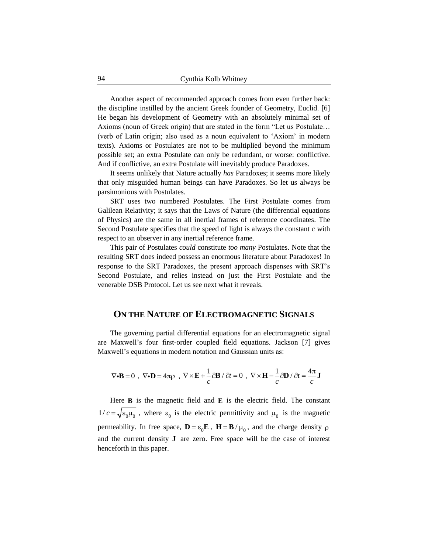Another aspect of recommended approach comes from even further back: the discipline instilled by the ancient Greek founder of Geometry, Euclid. [6] He began his development of Geometry with an absolutely minimal set of Axioms (noun of Greek origin) that are stated in the form "Let us Postulate… (verb of Latin origin; also used as a noun equivalent to "Axiom" in modern texts). Axioms or Postulates are not to be multiplied beyond the minimum possible set; an extra Postulate can only be redundant, or worse: conflictive. And if conflictive, an extra Postulate will inevitably produce Paradoxes.

It seems unlikely that Nature actually *has* Paradoxes; it seems more likely that only misguided human beings can have Paradoxes. So let us always be parsimonious with Postulates.

SRT uses two numbered Postulates. The First Postulate comes from Galilean Relativity; it says that the Laws of Nature (the differential equations of Physics) are the same in all inertial frames of reference coordinates. The Second Postulate specifies that the speed of light is always the constant *c* with respect to an observer in any inertial reference frame.

This pair of Postulates *could* constitute *too many* Postulates. Note that the resulting SRT does indeed possess an enormous literature about Paradoxes! In response to the SRT Paradoxes, the present approach dispenses with SRT"s Second Postulate, and relies instead on just the First Postulate and the venerable DSB Protocol. Let us see next what it reveals.

## **ON THE NATURE OF ELECTROMAGNETIC SIGNALS**

The governing partial differential equations for an electromagnetic signal are Maxwell"s four first-order coupled field equations. Jackson [7] gives Maxwell's equations in modern notation and Gaussian units as:

$$
\nabla \bullet \mathbf{B} = 0 \text{ , } \nabla \bullet \mathbf{D} = 4\pi \rho \text{ , } \nabla \times \mathbf{E} + \frac{1}{c} \partial \mathbf{B} / \partial t = 0 \text{ , } \nabla \times \mathbf{H} - \frac{1}{c} \partial \mathbf{D} / \partial t = \frac{4\pi}{c} \mathbf{J}
$$

Here  $\bf{B}$  is the magnetic field and  $\bf{E}$  is the electric field. The constant  $1/c = \sqrt{\epsilon_0 \mu_0}$ , where  $\epsilon_0$  is the electric permittivity and  $\mu_0$  is the magnetic permeability. In free space,  $\mathbf{D} = \varepsilon_0 \mathbf{E}$ ,  $\mathbf{H} = \mathbf{B} / \mu_0$ , and the charge density  $\rho$ and the current density  $J$  are zero. Free space will be the case of interest henceforth in this paper.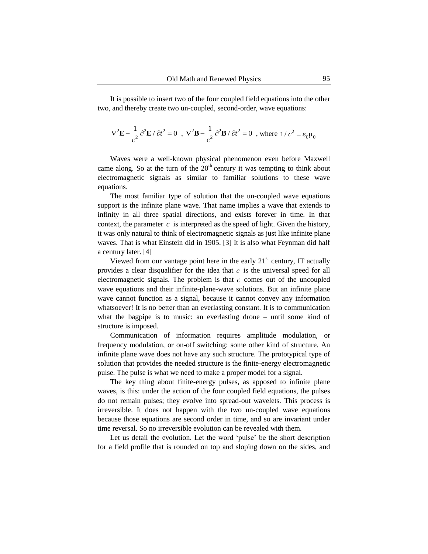It is possible to insert two of the four coupled field equations into the other two, and thereby create two un-coupled, second-order, wave equations:

$$
\nabla^2 \mathbf{E} - \frac{1}{c^2} \partial^2 \mathbf{E} / \partial t^2 = 0 \ , \ \nabla^2 \mathbf{B} - \frac{1}{c^2} \partial^2 \mathbf{B} / \partial t^2 = 0 \ , \text{ where } 1/c^2 = \varepsilon_0 \mu_0
$$

Waves were a well-known physical phenomenon even before Maxwell came along. So at the turn of the  $20<sup>th</sup>$  century it was tempting to think about electromagnetic signals as similar to familiar solutions to these wave equations.

The most familiar type of solution that the un-coupled wave equations support is the infinite plane wave. That name implies a wave that extends to infinity in all three spatial directions, and exists forever in time. In that context, the parameter  $c$  is interpreted as the speed of light. Given the history, it was only natural to think of electromagnetic signals as just like infinite plane waves. That is what Einstein did in 1905. [3] It is also what Feynman did half a century later. [4]

Viewed from our vantage point here in the early  $21<sup>st</sup>$  century, IT actually provides a clear disqualifier for the idea that  $c$  is the universal speed for all electromagnetic signals. The problem is that  $c$  comes out of the uncoupled wave equations and their infinite-plane-wave solutions. But an infinite plane wave cannot function as a signal, because it cannot convey any information whatsoever! It is no better than an everlasting constant. It is to communication what the bagpipe is to music: an everlasting drone – until some kind of structure is imposed.

Communication of information requires amplitude modulation, or frequency modulation, or on-off switching: some other kind of structure. An infinite plane wave does not have any such structure. The prototypical type of solution that provides the needed structure is the finite-energy electromagnetic pulse. The pulse is what we need to make a proper model for a signal.

The key thing about finite-energy pulses, as apposed to infinite plane waves, is this: under the action of the four coupled field equations, the pulses do not remain pulses; they evolve into spread-out wavelets. This process is irreversible. It does not happen with the two un-coupled wave equations because those equations are second order in time, and so are invariant under time reversal. So no irreversible evolution can be revealed with them.

Let us detail the evolution. Let the word "pulse" be the short description for a field profile that is rounded on top and sloping down on the sides, and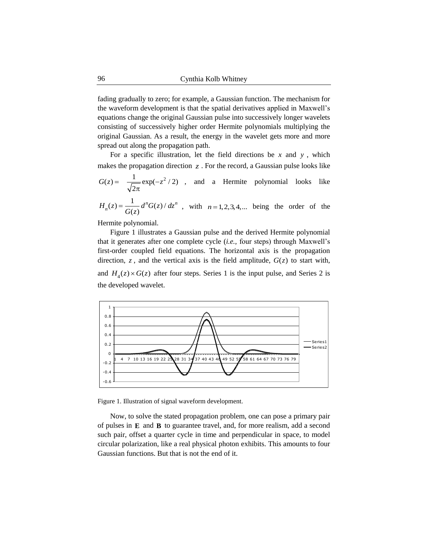fading gradually to zero; for example, a Gaussian function. The mechanism for the waveform development is that the spatial derivatives applied in Maxwell"s equations change the original Gaussian pulse into successively longer wavelets consisting of successively higher order Hermite polynomials multiplying the original Gaussian. As a result, the energy in the wavelet gets more and more spread out along the propagation path.

For a specific illustration, let the field directions be  $x$  and  $y$ , which makes the propagation direction  $z$ . For the record, a Gaussian pulse looks like

$$
G(z) = \frac{1}{\sqrt{2\pi}} \exp(-z^2/2)
$$
, and a Hermite polynomial looks like

 $H_n(z) = \frac{1}{C(z)} d^n G(z) / dz^n$ , with  $n = 1, 2, 3, 4,...$  being the order of the  $\frac{1}{G(z)} d^n G(z) / dz^n$ , with  $n = 1, 2, 3, 4, ...$ 

Hermite polynomial.

Figure 1 illustrates a Gaussian pulse and the derived Hermite polynomial that it generates after one complete cycle (*i.e.,* four steps) through Maxwell"s first-order coupled field equations. The horizontal axis is the propagation direction,  $z$ , and the vertical axis is the field amplitude,  $G(z)$  to start with, and  $H_4(z) \times G(z)$  after four steps. Series 1 is the input pulse, and Series 2 is the developed wavelet.



Figure 1. Illustration of signal waveform development.

Now, to solve the stated propagation problem, one can pose a primary pair of pulses in  $E$  and  $B$  to guarantee travel, and, for more realism, add a second such pair, offset a quarter cycle in time and perpendicular in space, to model circular polarization, like a real physical photon exhibits. This amounts to four Gaussian functions. But that is not the end of it.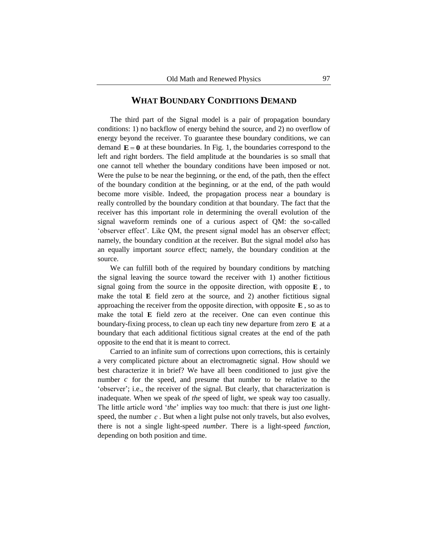### **WHAT BOUNDARY CONDITIONS DEMAND**

The third part of the Signal model is a pair of propagation boundary conditions: 1) no backflow of energy behind the source, and 2) no overflow of energy beyond the receiver. To guarantee these boundary conditions, we can demand  $\mathbf{E} = \mathbf{0}$  at these boundaries. In Fig. 1, the boundaries correspond to the left and right borders. The field amplitude at the boundaries is so small that one cannot tell whether the boundary conditions have been imposed or not. Were the pulse to be near the beginning, or the end, of the path, then the effect of the boundary condition at the beginning, or at the end, of the path would become more visible. Indeed, the propagation process near a boundary is really controlled by the boundary condition at that boundary. The fact that the receiver has this important role in determining the overall evolution of the signal waveform reminds one of a curious aspect of QM: the so-called 'observer effect'. Like QM, the present signal model has an observer effect; namely, the boundary condition at the receiver. But the signal model *also* has an equally important *source* effect; namely, the boundary condition at the source.

We can fulfill both of the required by boundary conditions by matching the signal leaving the source toward the receiver with 1) another fictitious signal going from the source in the opposite direction, with opposite  $E$ , to make the total  $E$  field zero at the source, and 2) another fictitious signal approaching the receiver from the opposite direction, with opposite  $E$ , so as to make the total  $E$  field zero at the receiver. One can even continue this boundary-fixing process, to clean up each tiny new departure from zero E at a boundary that each additional fictitious signal creates at the end of the path opposite to the end that it is meant to correct.

Carried to an infinite sum of corrections upon corrections, this is certainly a very complicated picture about an electromagnetic signal. How should we best characterize it in brief? We have all been conditioned to just give the number  $c$  for the speed, and presume that number to be relative to the 'observer'; i.e., the receiver of the signal. But clearly, that characterization is inadequate. When we speak of *the* speed of light, we speak way too casually. The little article word "*the*" implies way too much: that there is just *one* lightspeed, the number  $c$ . But when a light pulse not only travels, but also evolves, there is not a single light-speed *number*. There is a light-speed *function*, depending on both position and time.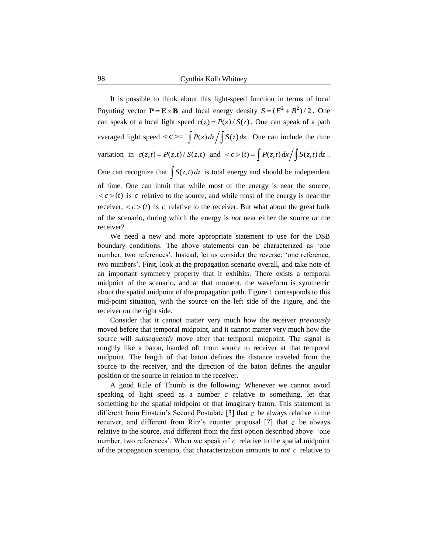It is possible to think about this light-speed function in terms of local Poynting vector  $P = E \times B$  and local energy density  $S = (E^2 + B^2)/2$ . One can speak of a local light speed  $c(z) = P(z)/S(z)$ . One can speak of a path averaged light speed  $\langle c \rangle = \int P(z) dz / \int S(z) dz$ . One can include the time variation in  $c(z,t) = P(z,t) / S(z,t)$  and  $\langle c \rangle (t) = \int P(z,t) dx / \int S(z,t) dz$ .

One can recognize that  $\int S(z,t) dz$  is total energy and should be independent of time. One can intuit that while most of the energy is near the source,  $\langle c \rangle$  *c*) is c relative to the source, and while most of the energy is near the receiver,  $\langle c \rangle(t)$  is c relative to the receiver. But what about the great bulk of the scenario, during which the energy is *not* near either the source *or* the receiver?

We need a new and more appropriate statement to use for the DSB boundary conditions. The above statements can be characterized as "one number, two references'. Instead, let us consider the reverse: 'one reference, two numbers". First, look at the propagation scenario overall, and take note of an important symmetry property that it exhibits. There exists a temporal midpoint of the scenario, and at that moment, the waveform is symmetric about the spatial midpoint of the propagation path. Figure 1 corresponds to this mid-point situation, with the source on the left side of the Figure, and the receiver on the right side.

Consider that it cannot matter very much how the receiver *previously* moved before that temporal midpoint, and it cannot matter very much how the source will *subsequently* move after that temporal midpoint. The signal is roughly like a baton, handed off from source to receiver at that temporal midpoint. The length of that baton defines the distance traveled from the source to the receiver, and the direction of the baton defines the angular position of the source in relation to the receiver.

A good Rule of Thumb is the following: Whenever we cannot avoid speaking of light speed as a number  $c$  relative to something, let that something be the spatial midpoint of that imaginary baton. This statement is different from Einstein's Second Postulate  $[3]$  that c be always relative to the receiver, and different from Ritz's counter proposal  $[7]$  that  $c$  be always relative to the source, *and* different from the first option described above: "one number, two references'. When we speak of  $c$  relative to the spatial midpoint of the propagation scenario, that characterization amounts to *not* c relative to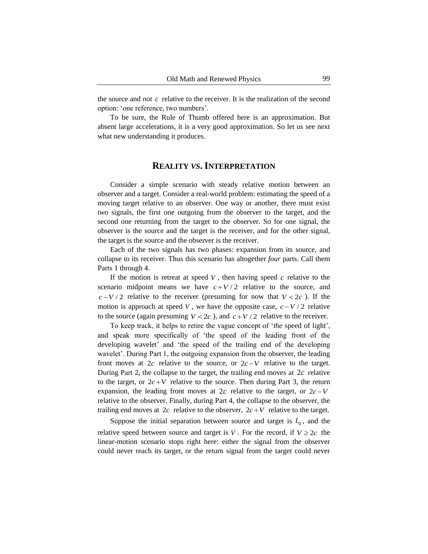the source and *not*  $c$  relative to the receiver. It is the realization of the second option: "one reference, two numbers".

To be sure, the Rule of Thumb offered here is an approximation. But absent large accelerations, it is a very good approximation. So let us see next what new understanding it produces.

### **REALITY** *VS***.INTERPRETATION**

Consider a simple scenario with steady relative motion between an observer and a target. Consider a real-world problem: estimating the speed of a moving target relative to an observer. One way or another, there must exist *two* signals, the first one outgoing from the observer to the target, and the second one returning from the target to the observer. So for one signal, the observer is the source and the target is the receiver, and for the other signal, the target is the source and the observer is the receiver.

Each of the two signals has two phases: expansion from its source, and collapse to its receiver. Thus this scenario has altogether *four* parts. Call them Parts 1 through 4.

If the motion is retreat at speed  $V$ , then having speed  $c$  relative to the scenario midpoint means we have  $c + V/2$  relative to the source, and  $c - V/2$  relative to the receiver (presuming for now that  $V < 2c$ ). If the motion is approach at speed V, we have the opposite case,  $c - V/2$  relative to the source (again presuming  $V < 2c$ ), and  $c + V / 2$  relative to the receiver.

To keep track, it helps to retire the vague concept of "*the* speed of light", and speak more specifically of "the speed of the leading front of the developing wavelet' and 'the speed of the trailing end of the developing wavelet'. During Part 1, the outgoing expansion from the observer, the leading front moves at  $2c$  relative to the source, or  $2c - V$  relative to the target. During Part 2, the collapse to the target, the trailing end moves at  $2c$  relative to the target, or  $2c + V$  relative to the source. Then during Part 3, the return expansion, the leading front moves at  $2c$  relative to the target, or  $2c - V$ relative to the observer. Finally, during Part 4, the collapse to the observer, the trailing end moves at  $2c$  relative to the observer,  $2c + V$  relative to the target.

Suppose the initial separation between source and target is  $L_0$ , and the relative speed between source and target is V. For the record, if  $V \ge 2c$  the linear-motion scenario stops right here: either the signal from the observer could never reach its target, or the return signal from the target could never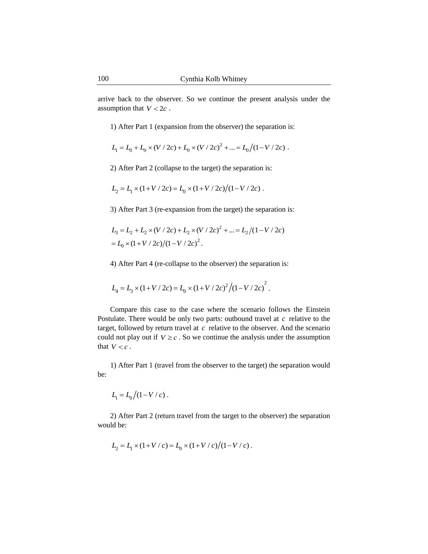arrive back to the observer. So we continue the present analysis under the assumption that  $V < 2c$ .

1) After Part 1 (expansion from the observer) the separation is:

$$
L_1 = L_0 + L_0 \times (V / 2c) + L_0 \times (V / 2c)^2 + \dots = L_0 / (1 - V / 2c) \; .
$$

2) After Part 2 (collapse to the target) the separation is:

$$
L_2 = L_1 \times (1 + V / 2c) = L_0 \times (1 + V / 2c) / (1 - V / 2c).
$$

3) After Part 3 (re-expansion from the target) the separation is:

$$
L_3 = L_2 + L_2 \times (V / 2c) + L_2 \times (V / 2c)^2 + ... = L_2 / (1 - V / 2c)
$$
  
=  $L_0 \times (1 + V / 2c) / (1 - V / 2c)^2$ .

4) After Part 4 (re-collapse to the observer) the separation is:

$$
L_4 = L_3 \times (1 + V / 2c) = L_0 \times (1 + V / 2c)^2 / (1 - V / 2c)^2.
$$

Compare this case to the case where the scenario follows the Einstein Postulate. There would be only two parts: outbound travel at  $c$  relative to the target, followed by return travel at  $c$  relative to the observer. And the scenario could not play out if  $V \geq c$ . So we continue the analysis under the assumption that  $V < c$ .

1) After Part 1 (travel from the observer to the target) the separation would be:

$$
L_1 = L_0/(1 - V/c)
$$
.

2) After Part 2 (return travel from the target to the observer) the separation would be:

$$
L_2 = L_1 \times (1 + V/c) = L_0 \times (1 + V/c)/(1 - V/c).
$$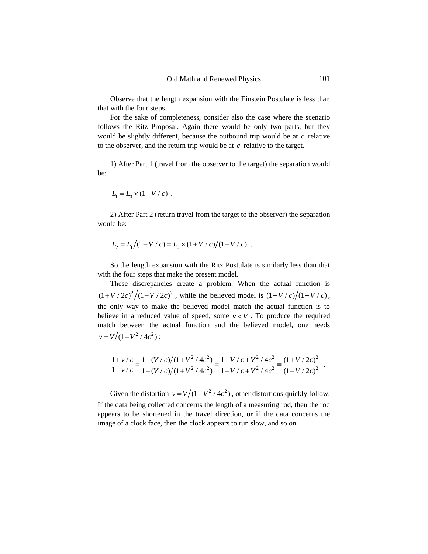Observe that the length expansion with the Einstein Postulate is less than that with the four steps.

For the sake of completeness, consider also the case where the scenario follows the Ritz Proposal. Again there would be only two parts, but they would be slightly different, because the outbound trip would be at  $c$  relative to the observer, and the return trip would be at  $c$  relative to the target.

1) After Part 1 (travel from the observer to the target) the separation would be:

$$
L_1 = L_0 \times (1 + V / c) \ .
$$

2) After Part 2 (return travel from the target to the observer) the separation would be:

$$
L_2 = L_1/(1 - V/c) = L_0 \times (1 + V/c)/(1 - V/c)
$$
.

So the length expansion with the Ritz Postulate is similarly less than that with the four steps that make the present model.

These discrepancies create a problem. When the actual function is  $(1 + V / 2c)^2 / (1 - V / 2c)^2$ , while the believed model is  $(1 + V / c) / (1 - V / c)$ , the only way to make the believed model match the actual function is to believe in a reduced value of speed, some  $v < V$ . To produce the required match between the actual function and the believed model, one needs  $v = V/(1 + V^2/4c^2)$ :

$$
\frac{1+v/c}{1-v/c} = \frac{1+(V/c)/(1+V^2/4c^2)}{1-(V/c)/(1+V^2/4c^2)} = \frac{1+V/c+V^2/4c^2}{1-V/c+V^2/4c^2} = \frac{(1+V/2c)^2}{(1-V/2c)^2}.
$$

Given the distortion  $v = V/(1 + V^2 / 4c^2)$ , other distortions quickly follow. If the data being collected concerns the length of a measuring rod, then the rod appears to be shortened in the travel direction, or if the data concerns the image of a clock face, then the clock appears to run slow, and so on.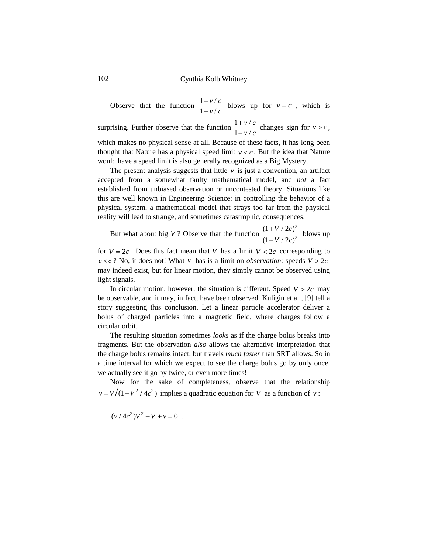Observe that the function  $\frac{1+v/c}{1+v/c}$  blows up for  $v = c$ , which is surprising. Further observe that the function  $\frac{1 + v/c}{1 + v/c}$  changes sign for  $v > c$ , which makes no physical sense at all. Because of these facts, it has long been thought that Nature has a physical speed limit  $v < c$ . But the idea that Nature would have a speed limit is also generally recognized as a Big Mystery.  $1 - v / c$  $v = c$  $1 - v / c$  $v > c$ 

The present analysis suggests that little  $\nu$  is just a convention, an artifact accepted from a somewhat faulty mathematical model, and *not* a fact established from unbiased observation or uncontested theory. Situations like this are well known in Engineering Science: in controlling the behavior of a physical system, a mathematical model that strays too far from the physical reality will lead to strange, and sometimes catastrophic, consequences.

But what about big V? Observe that the function  $\frac{(1 + V/2c)^2}{(1 + V/2c)^2}$  blows up  $(1-V/2c)^2$ 

for  $V = 2c$ . Does this fact mean that V has a limit  $V < 2c$  corresponding to  $v < c$  ? No, it does not! What V has is a limit on *observation*: speeds  $V > 2c$ may indeed exist, but for linear motion, they simply cannot be observed using light signals.

In circular motion, however, the situation is different. Speed  $V > 2c$  may be observable, and it may, in fact, have been observed. Kuligin et al., [9] tell a story suggesting this conclusion. Let a linear particle accelerator deliver a bolus of charged particles into a magnetic field, where charges follow a circular orbit.

The resulting situation sometimes *looks* as if the charge bolus breaks into fragments. But the observation *also* allows the alternative interpretation that the charge bolus remains intact, but travels *much faster* than SRT allows. So in a time interval for which we expect to see the charge bolus go by only once, we actually see it go by twice, or even more times!

Now for the sake of completeness, observe that the relationship  $v = V/(1 + V^2 / 4c^2)$  implies a quadratic equation for V as a function of v:

$$
(v/4c^2)V^2 - V + v = 0
$$

.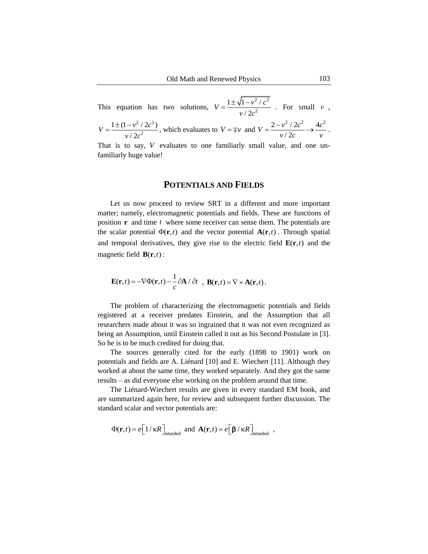This equation has two solutions,  $\frac{2}{2}$   $\frac{2}{2}$ 2  $1 \pm \sqrt{1 - v^2}$  /  $/ 2$  $V = \frac{1 \pm \sqrt{1 - v^2/c}}{v^2}$  $v / 2c$  $=\frac{1\pm\sqrt{1-v^2/c^2}}{2}$  For small v,  $2/2a^2$ 2  $1 \pm (1 - v^2 / 2c^2)$  $/ 2$  $V = \frac{1 \pm (1 - v^2 / 2c)}{v^2}$  $v / 2c$  $=\frac{1\pm(1-v^2/2c^2)}{2}$ , which evaluates to  $V=\mp v$  and  $V=\frac{2-v^2/2c^2}{2} \rightarrow \frac{4c^2}{2}$ / 2  $V = \frac{2 - v^2 / 2c^2}{\sqrt{2}} \rightarrow \frac{4c}{\sqrt{2}}$  $\frac{\nu}{2c}$   $\rightarrow$   $\frac{\nu}{v}$  $=\frac{2-v^2/2c^2}{2}\rightarrow \frac{4c^2}{2}.$ 

That is to say, V evaluates to one familiarly small value, and one unfamiliarly huge value!

#### **POTENTIALS AND FIELDS**

Let us now proceed to review SRT in a different and more important matter; namely, electromagnetic potentials and fields. These are functions of position  $\mathbf{r}$  and time  $t$  where some receiver can sense them. The potentials are the scalar potential  $\Phi(\mathbf{r},t)$  and the vector potential  $\mathbf{A}(\mathbf{r},t)$ . Through spatial and temporal derivatives, they give rise to the electric field  $\mathbf{E}(\mathbf{r},t)$  and the magnetic field  $\mathbf{B}(\mathbf{r},t)$ :

$$
\mathbf{E}(\mathbf{r},t) = -\nabla \Phi(\mathbf{r},t) - \frac{1}{c} \partial \mathbf{A} / \partial t \quad , \mathbf{B}(\mathbf{r},t) = \nabla \times \mathbf{A}(\mathbf{r},t).
$$

The problem of characterizing the electromagnetic potentials and fields registered at a receiver predates Einstein, and the Assumption that all researchers made about it was so ingrained that it was not even recognized as being an Assumption, until Einstein called it out as his Second Postulate in [3]. So he is to be much credited for doing that.

The sources generally cited for the early (1898 to 1901) work on potentials and fields are A. Liénard [10] and E. Wiechert [11]. Although they worked at about the same time, they worked separately. And they got the same results – as did everyone else working on the problem around that time.

The Liénard-Wiechert results are given in every standard EM book, and are summarized again here, for review and subsequent further discussion. The standard scalar and vector potentials are:

$$
\Phi(\mathbf{r},t) = e \bigg[ 1/\kappa R \bigg]_{\text{retarded}} \text{ and } \mathbf{A}(\mathbf{r},t) = e \bigg[ \beta/\kappa R \bigg]_{\text{retarded}} ,
$$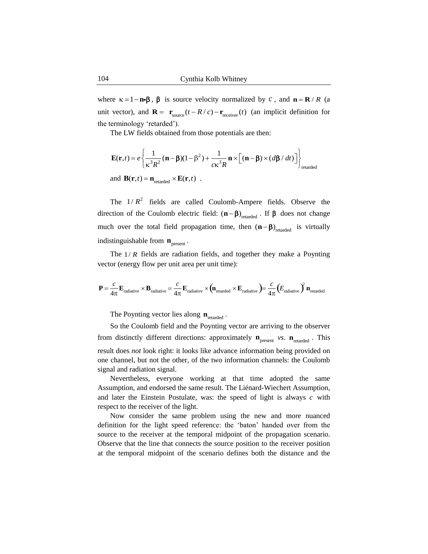where  $\kappa = 1 - \mathbf{n} \cdot \boldsymbol{\beta}$ ,  $\boldsymbol{\beta}$  is source velocity normalized by c, and  $\mathbf{n} = \mathbf{R} / R$  (a unit vector), and  $\mathbf{R} = \mathbf{r}_{source}(t - R/c) - \mathbf{r}_{receiver}(t)$  (an implicit definition for the terminology "retarded").

The LW fields obtained from those potentials are then:

$$
\mathbf{E}(\mathbf{r},t) = e \left\{ \frac{1}{\kappa^3 R^2} (\mathbf{n} - \beta)(1 - \beta^2) + \frac{1}{c\kappa^3 R} \mathbf{n} \times \left[ (\mathbf{n} - \beta) \times (d\beta / dt) \right] \right\}_{\text{retarded}}
$$
  
and  $\mathbf{B}(\mathbf{r},t) = \mathbf{n}_{\text{retarded}} \times \mathbf{E}(\mathbf{r},t)$ .

The  $1/R^2$  fields are called Coulomb-Ampere fields. Observe the direction of the Coulomb electric field:  $(n - \beta)$ <sub>retarded</sub>. If  $\beta$  does not change much over the total field propagation time, then  $(n - \beta)$ <sub>retarded</sub> is virtually indistinguishable from  $\mathbf{n}_{\text{present}}$ .

The  $1/R$  fields are radiation fields, and together they make a Poynting vector (energy flow per unit area per unit time):

$$
\mathbf{P} = \frac{c}{4\pi} \mathbf{E}_{\text{radiative}} \times \mathbf{B}_{\text{radiative}} = \frac{c}{4\pi} \mathbf{E}_{\text{radiative}} \times (\mathbf{n}_{\text{retarded}} \times \mathbf{E}_{\text{radiative}}) = \frac{c}{4\pi} (E_{\text{radiative}})^2 \mathbf{n}_{\text{retarded}}
$$

The Poynting vector lies along  $n_{\text{retarded}}$ .

So the Coulomb field and the Poynting vector are arriving to the observer from distinctly different directions: approximately  $\mathbf{n}_{\text{present}}$  *vs.*  $\mathbf{n}_{\text{retarded}}$ . This result does *not* look right: it looks like advance information being provided on one channel, but not the other, of the two information channels: the Coulomb signal and radiation signal.

Nevertheless, everyone working at that time adopted the same Assumption, and endorsed the same result. The Liénard-Wiechert Assumption, and later the Einstein Postulate, was: the speed of light is always  $c$  with respect to the receiver of the light.

Now consider the same problem using the new and more nuanced definition for the light speed reference: the "baton" handed over from the source to the receiver at the temporal midpoint of the propagation scenario. Observe that the line that connects the source position to the receiver position at the temporal midpoint of the scenario defines both the distance and the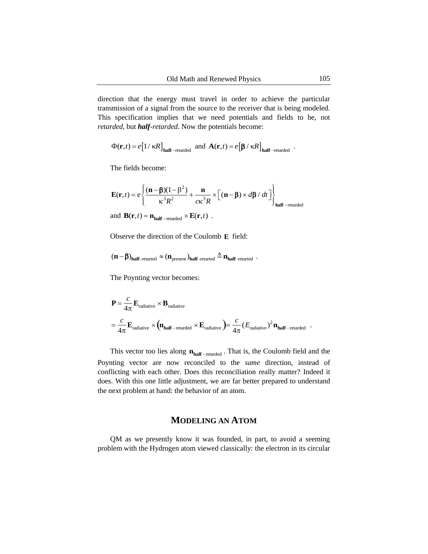direction that the energy must travel in order to achieve the particular transmission of a signal from the source to the receiver that is being modeled. This specification implies that we need potentials and fields to be, not *retarded*, but *half-retarded*. Now the potentials become:

$$
\Phi(\mathbf{r},t) = e[1/\kappa R]_{\text{half-retarded}} \text{ and } \mathbf{A}(\mathbf{r},t) = e[\beta/\kappa R]_{\text{half-retarded}}.
$$

The fields become:

$$
\mathbf{E}(\mathbf{r},t) = e \left\{ \frac{(\mathbf{n} - \boldsymbol{\beta})(1 - \boldsymbol{\beta}^2)}{\kappa^3 R^2} + \frac{\mathbf{n}}{c\kappa^3 R} \times \left[ (\mathbf{n} - \boldsymbol{\beta}) \times d\boldsymbol{\beta} / dt \right] \right\}_{\text{half-retarded}}
$$
  
and 
$$
\mathbf{B}(\mathbf{r},t) = \mathbf{n}_{\text{half-retarded}} \times \mathbf{E}(\mathbf{r},t) .
$$

Observe the direction of the Coulomb E field:

$$
(n-\beta)_{half\text{-retarted}} \approx (n_{\text{present}})_{half\text{-retarted}} \triangleq n_{half\text{-retarted}} \enspace.
$$

The Poynting vector becomes:

$$
\mathbf{P} = \frac{c}{4\pi} \mathbf{E}_{\text{radiative}} \times \mathbf{B}_{\text{radiative}}
$$
  
=  $\frac{c}{4\pi} \mathbf{E}_{\text{radiative}} \times (\mathbf{n}_{\text{half}-\text{retarded}} \times \mathbf{E}_{\text{radiative}}) = \frac{c}{4\pi} (E_{\text{radiative}})^2 \mathbf{n}_{\text{half}-\text{retarded}}.$ 

This vector too lies along  $n_{half-retarded}$ . That is, the Coulomb field and the Poynting vector are now reconciled to the *same* direction, instead of conflicting with each other. Does this reconciliation really matter? Indeed it does. With this one little adjustment, we are far better prepared to understand the next problem at hand: the behavior of an atom.

# **MODELING AN ATOM**

QM as we presently know it was founded, in part, to avoid a seeming problem with the Hydrogen atom viewed classically: the electron in its circular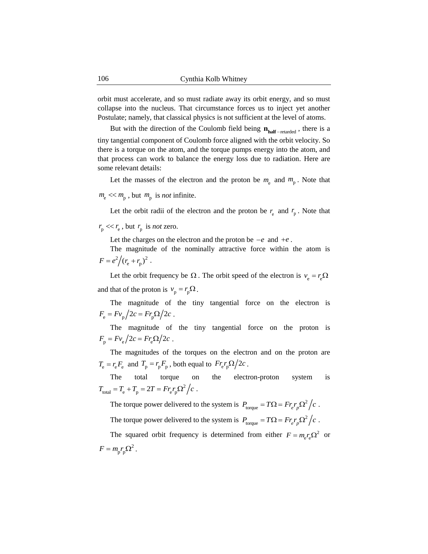orbit must accelerate, and so must radiate away its orbit energy, and so must collapse into the nucleus. That circumstance forces us to inject yet another Postulate; namely, that classical physics is not sufficient at the level of atoms.

But with the direction of the Coulomb field being  $n_{half-retarded}$ , there is a tiny tangential component of Coulomb force aligned with the orbit velocity. So there is a torque on the atom, and the torque pumps energy into the atom, and that process can work to balance the energy loss due to radiation. Here are some relevant details:

Let the masses of the electron and the proton be  $m_e$  and  $m_p$ . Note that

 $m_{\rm e}$   $\ll m_{\rm p}$ , but  $m_{\rm p}$  is *not* infinite.

Let the orbit radii of the electron and the proton be  $r_{\rm e}$  and  $r_{\rm p}$ . Note that

 $r_p \ll r_e$ , but  $r_p$  is *not* zero.

Let the charges on the electron and the proton be  $-e$  and  $+e$ .

The magnitude of the nominally attractive force within the atom is  $F = e^2/(r_{\rm e} + r_{\rm p})^2$ .

Let the orbit frequency be  $\Omega$ . The orbit speed of the electron is  $v_e = r_e \Omega$ and that of the proton is  $v_p = r_p \Omega$ .

The magnitude of the tiny tangential force on the electron is  $F_e = Fv_p/2c = Fr_p\Omega/2c$ .

The magnitude of the tiny tangential force on the proton is  $F_{\rm p} = F v_{\rm e} / 2c = F r_{\rm e} \Omega / 2c$ .

The magnitudes of the torques on the electron and on the proton are  $T_e = r_e F_e$  and  $T_p = r_p F_p$ , both equal to  $F r_e r_p \Omega / 2c$ .

The total torque on the electron-proton system is  $T_{\text{total}} = T_{\text{e}} + T_{\text{p}} = 2T = Fr_{\text{e}}r_{\text{p}}\Omega^2/c$ .

The torque power delivered to the system is  $P_{\text{torque}} = T\Omega = Fr_{e}r_{p}\Omega^{2}/c$ .

The torque power delivered to the system is  $P_{\text{torque}} = T\Omega = Fr_{e}r_{p}\Omega^{2}/c$ .

The squared orbit frequency is determined from either  $F = m_e r_e \Omega^2$  or  $F = m_p r_p \Omega^2$ .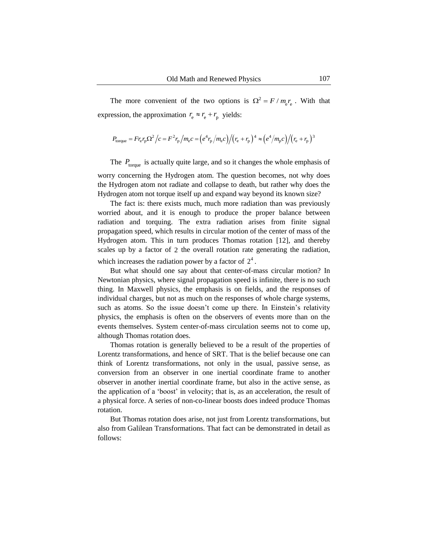The more convenient of the two options is  $\Omega^2 = F / m_e r_e$ . With that expression, the approximation  $r_e \approx r_e + r_p$  yields:

$$
P_{\text{torque}} = F r_{\text{e}} r_{\text{p}} \Omega^2 / c = F^2 r_{\text{p}} / m_{\text{e}} c = (e^4 r_{\text{p}} / m_{\text{e}} c) / (r_{\text{e}} + r_{\text{p}})^4 \approx (e^4 / m_{\text{p}} c) / (r_{\text{e}} + r_{\text{p}})^3
$$

The  $P_{\text{torque}}$  is actually quite large, and so it changes the whole emphasis of worry concerning the Hydrogen atom. The question becomes, not why does the Hydrogen atom not radiate and collapse to death, but rather why does the Hydrogen atom not torque itself up and expand way beyond its known size?

The fact is: there exists much, much more radiation than was previously worried about, and it is enough to produce the proper balance between radiation and torquing. The extra radiation arises from finite signal propagation speed, which results in circular motion of the center of mass of the Hydrogen atom. This in turn produces Thomas rotation [12], and thereby scales up by a factor of 2 the overall rotation rate generating the radiation, which increases the radiation power by a factor of  $2<sup>4</sup>$ .

But what should one say about that center-of-mass circular motion? In Newtonian physics, where signal propagation speed is infinite, there is no such thing. In Maxwell physics, the emphasis is on fields, and the responses of individual charges, but not as much on the responses of whole charge systems, such as atoms. So the issue doesn't come up there. In Einstein's relativity physics, the emphasis is often on the observers of events more than on the events themselves. System center-of-mass circulation seems not to come up, although Thomas rotation does.

Thomas rotation is generally believed to be a result of the properties of Lorentz transformations, and hence of SRT. That is the belief because one can think of Lorentz transformations, not only in the usual, passive sense, as conversion from an observer in one inertial coordinate frame to another observer in another inertial coordinate frame, but also in the active sense, as the application of a "boost" in velocity; that is, as an acceleration, the result of a physical force. A series of non-co-linear boosts does indeed produce Thomas rotation.

But Thomas rotation does arise, not just from Lorentz transformations, but also from Galilean Transformations. That fact can be demonstrated in detail as follows: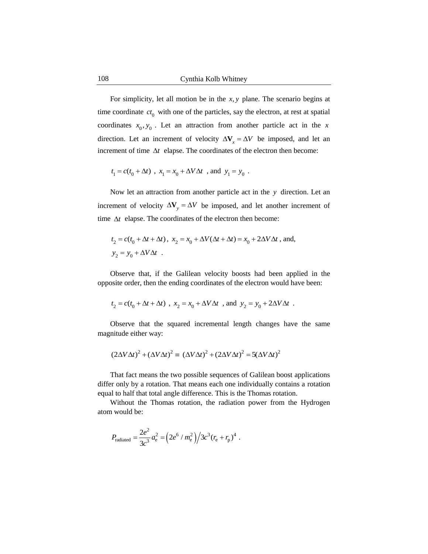For simplicity, let all motion be in the  $x, y$  plane. The scenario begins at time coordinate  $ct_0$  with one of the particles, say the electron, at rest at spatial coordinates  $x_0, y_0$ . Let an attraction from another particle act in the x direction. Let an increment of velocity  $\Delta V_x = \Delta V$  be imposed, and let an increment of time  $\Delta t$  elapse. The coordinates of the electron then become:

$$
t_{\rm l}=c(t_{\rm 0}+\Delta t)
$$
 ,  $x_{\rm l}=x_{\rm 0}+\Delta V \Delta t$  , and  $y_{\rm l}=y_{\rm 0}$  .

Now let an attraction from another particle act in the y direction. Let an increment of velocity  $\Delta V_y = \Delta V$  be imposed, and let another increment of time  $\Delta t$  elapse. The coordinates of the electron then become:

$$
\begin{split} t_2&=c(t_0+\Delta t+\Delta t)\,,\ x_2&=x_0+\Delta V(\Delta t+\Delta t)=x_0+2\Delta V\Delta t\ ,\ \text{and},\\ y_2&=y_0+\Delta V\Delta t\ \ . \end{split}
$$

Observe that, if the Galilean velocity boosts had been applied in the opposite order, then the ending coordinates of the electron would have been:

$$
t_2 = c(t_0 + \Delta t + \Delta t)
$$
 ,  $x_2 = x_0 + \Delta V \Delta t$  , and  $y_2 = y_0 + 2\Delta V \Delta t$  .

Observe that the squared incremental length changes have the same magnitude either way:

$$
(2\Delta V \Delta t)^2 + (\Delta V \Delta t)^2 = (\Delta V \Delta t)^2 + (2\Delta V \Delta t)^2 = 5(\Delta V \Delta t)^2
$$

That fact means the two possible sequences of Galilean boost applications differ only by a rotation. That means each one individually contains a rotation equal to half that total angle difference. This is the Thomas rotation.

Without the Thomas rotation, the radiation power from the Hydrogen atom would be:

$$
P_{\text{radiated}} = \frac{2e^2}{3c^3} a_e^2 = \left(2e^6 / m_e^2\right) / 3c^3 (r_e + r_p)^4.
$$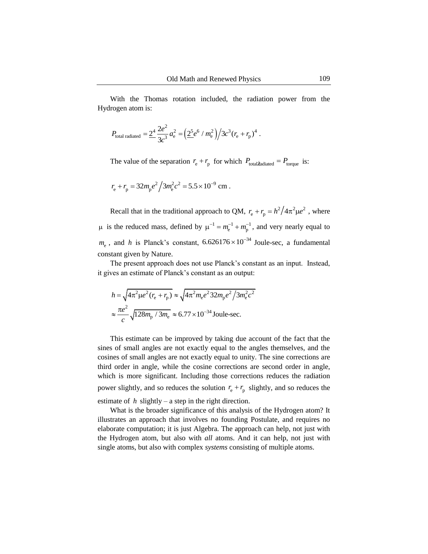With the Thomas rotation included, the radiation power from the Hydrogen atom is:

$$
P_{\text{total radiated}} = \underline{2^4} \frac{2e^2}{3c^3} a_e^2 = \left(\underline{2^5}e^6 / m_e^2\right) / 3c^3 (r_e + r_p)^4 \; .
$$

The value of the separation  $r_e + r_p$  for which  $P_{\text{total/}\hat{Z}_{\text{additional}}}=P_{\text{torque}}$  is:

$$
r_{\rm e} + r_{\rm p} = 32m_{\rm p}e^2/3m_{\rm e}^2c^2 = 5.5 \times 10^{-9} \text{ cm}.
$$

Recall that in the traditional approach to QM,  $r_e + r_p = h^2/4\pi^2 \mu e^2$ , where  $\mu$  is the reduced mass, defined by  $\mu^{-1} = m_e^{-1} + m_p^{-1}$ , and very nearly equal to  $m_e$ , and *h* is Planck's constant,  $6.626176 \times 10^{-34}$  Joule-sec, a fundamental constant given by Nature.  $m_{\rm p}^{-1} + m_{\rm p}^{-1}$ 1

The present approach does not use Planck"s constant as an input. Instead, it gives an estimate of Planck"s constant as an output:

$$
h = \sqrt{4\pi^2 \mu e^2 (r_e + r_p)} \approx \sqrt{4\pi^2 m_e e^2 32 m_p e^2 / 3m_e^2 c^2}
$$

$$
\approx \frac{\pi e^2}{c} \sqrt{128 m_p / 3m_e} \approx 6.77 \times 10^{-34} \text{ Joule-sec.}
$$

This estimate can be improved by taking due account of the fact that the sines of small angles are not exactly equal to the angles themselves, and the cosines of small angles are not exactly equal to unity. The sine corrections are third order in angle, while the cosine corrections are second order in angle, which is more significant. Including those corrections reduces the radiation power slightly, and so reduces the solution  $r_e + r_p$  slightly, and so reduces the estimate of  $h$  slightly – a step in the right direction.

What is the broader significance of this analysis of the Hydrogen atom? It illustrates an approach that involves no founding Postulate, and requires no elaborate computation; it is just Algebra. The approach can help, not just with the Hydrogen atom, but also with *all* atoms. And it can help, not just with single atoms, but also with complex *systems* consisting of multiple atoms.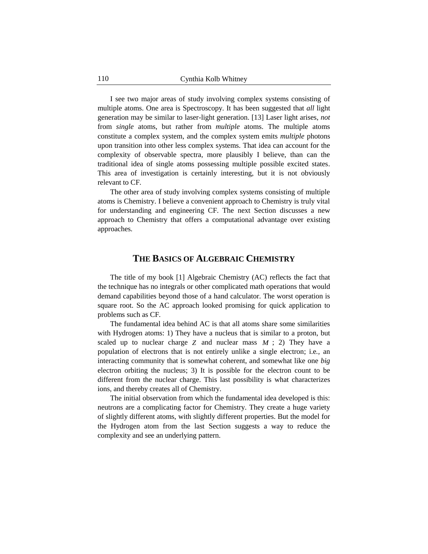I see two major areas of study involving complex systems consisting of multiple atoms. One area is Spectroscopy. It has been suggested that *all* light generation may be similar to laser-light generation. [13] Laser light arises, *not*  from *single* atoms, but rather from *multiple* atoms. The multiple atoms constitute a complex system, and the complex system emits *multiple* photons upon transition into other less complex systems. That idea can account for the complexity of observable spectra, more plausibly I believe, than can the traditional idea of single atoms possessing multiple possible excited states. This area of investigation is certainly interesting, but it is not obviously relevant to CF.

The other area of study involving complex systems consisting of multiple atoms is Chemistry. I believe a convenient approach to Chemistry is truly vital for understanding and engineering CF. The next Section discusses a new approach to Chemistry that offers a computational advantage over existing approaches.

## **THE BASICS OF ALGEBRAIC CHEMISTRY**

The title of my book [1] Algebraic Chemistry (AC) reflects the fact that the technique has no integrals or other complicated math operations that would demand capabilities beyond those of a hand calculator. The worst operation is square root. So the AC approach looked promising for quick application to problems such as CF.

The fundamental idea behind AC is that all atoms share some similarities with Hydrogen atoms: 1) They have a nucleus that is similar to a proton, but scaled up to nuclear charge  $Z$  and nuclear mass  $M$ ; 2) They have a population of electrons that is not entirely unlike a single electron; i.e*.,* an interacting community that is somewhat coherent, and somewhat like one *big* electron orbiting the nucleus; 3) It is possible for the electron count to be different from the nuclear charge. This last possibility is what characterizes ions, and thereby creates all of Chemistry.

The initial observation from which the fundamental idea developed is this: neutrons are a complicating factor for Chemistry. They create a huge variety of slightly different atoms, with slightly different properties. But the model for the Hydrogen atom from the last Section suggests a way to reduce the complexity and see an underlying pattern.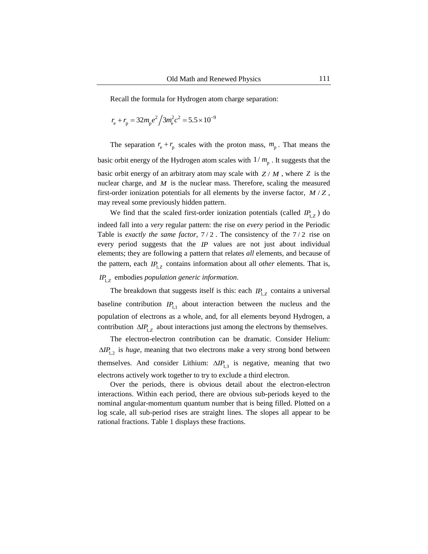Recall the formula for Hydrogen atom charge separation:

$$
r_{\rm e} + r_{\rm p} = 32m_{\rm p}e^2/3m_{\rm e}^2c^2 = 5.5 \times 10^{-9}
$$

The separation  $r_e + r_p$  scales with the proton mass,  $m_p$ . That means the basic orbit energy of the Hydrogen atom scales with  $1/m_p$ . It suggests that the basic orbit energy of an arbitrary atom may scale with  $Z/M$ , where  $Z$  is the nuclear charge, and  $M$  is the nuclear mass. Therefore, scaling the measured first-order ionization potentials for all elements by the inverse factor,  $M/Z$ , may reveal some previously hidden pattern.

We find that the scaled first-order ionization potentials (called  $IP_{1,Z}$ ) do indeed fall into a *very* regular pattern: the rise on *every* period in the Periodic Table is *exactly the same factor*,  $7/2$ . The consistency of the  $7/2$  rise on every period suggests that the  $IP$  values are not just about individual elements; they are following a pattern that relates *all* elements, and because of the pattern, each  $IP_{1,Z}$  contains information about all *other* elements. That is,

# *IP*<sub>1,*Z*</sub> embodies *population generic information*.

The breakdown that suggests itself is this: each  $IP_{1,Z}$  contains a universal baseline contribution  $IP_{1,1}$  about interaction between the nucleus and the population of electrons as a whole, and, for all elements beyond Hydrogen, a contribution  $\Delta IP_{1,Z}$  about interactions just among the electrons by themselves.

The electron-electron contribution can be dramatic. Consider Helium:  $\Delta IP_{1,2}$  is *huge*, meaning that two electrons make a very strong bond between themselves. And consider Lithium:  $\Delta IP_{1,3}$  is negative, meaning that two electrons actively work together to try to exclude a third electron.

Over the periods, there is obvious detail about the electron-electron interactions. Within each period, there are obvious sub-periods keyed to the nominal angular-momentum quantum number that is being filled. Plotted on a log scale, all sub-period rises are straight lines. The slopes all appear to be rational fractions. Table 1 displays these fractions.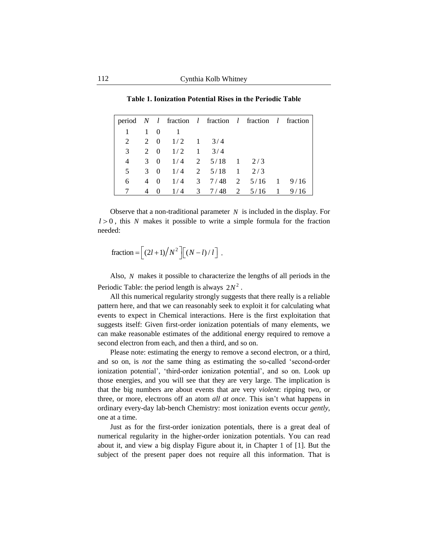**Table 1. Ionization Potential Rises in the Periodic Table**

|   |             |          |                   | period N l fraction l fraction l fraction l fraction |                |              |      |
|---|-------------|----------|-------------------|------------------------------------------------------|----------------|--------------|------|
|   | $1 \quad 0$ |          |                   |                                                      |                |              |      |
| 2 |             |          | 2 0 $1/2$ 1 3/4   |                                                      |                |              |      |
| 3 |             |          | 2 0 $1/2$ 1 $3/4$ |                                                      |                |              |      |
| 4 | 3           |          |                   | $0 \t1/4 \t2 \t5/18 \t1$                             | 2/3            |              |      |
| 5 |             |          |                   | $3 \t0 \t1/4 \t2 \t5/18 \t1 \t2/3$                   |                |              |      |
| 6 |             | 4 0      |                   | $1/4$ 3 7/48 2 5/16 1                                |                |              | 9/16 |
|   |             | $\Omega$ | 1/4               | $3 \t 7/48$                                          | $2 \quad 5/16$ | $\mathbf{1}$ | 9/16 |

Observe that a non-traditional parameter  $N$  is included in the display. For  $l > 0$ , this N makes it possible to write a simple formula for the fraction needed:

$$
\text{fraction} = \left[ \frac{(2l+1)}{N^2} \right] \left[ \frac{(N-l)}{l} \right]
$$

Also, N makes it possible to characterize the lengths of all periods in the Periodic Table: the period length is always  $2N^2$ .

.

All this numerical regularity strongly suggests that there really is a reliable pattern here, and that we can reasonably seek to exploit it for calculating what events to expect in Chemical interactions. Here is the first exploitation that suggests itself: Given first-order ionization potentials of many elements, we can make reasonable estimates of the additional energy required to remove a second electron from each, and then a third, and so on.

Please note: estimating the energy to remove a second electron, or a third, and so on, is *not* the same thing as estimating the so-called "second-order ionization potential", "third-order ionization potential", and so on. Look up those energies, and you will see that they are very large. The implication is that the big numbers are about events that are very *violent*: ripping two, or three, or more, electrons off an atom *all at once*. This isn't what happens in ordinary every-day lab-bench Chemistry: most ionization events occur *gently*, one at a time.

Just as for the first-order ionization potentials, there is a great deal of numerical regularity in the higher-order ionization potentials. You can read about it, and view a big display Figure about it, in Chapter 1 of [1]. But the subject of the present paper does not require all this information. That is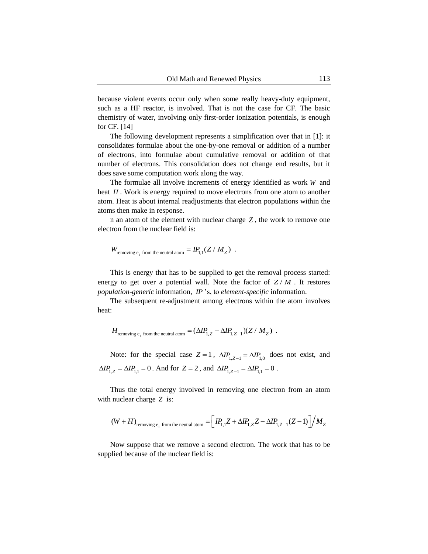because violent events occur only when some really heavy-duty equipment, such as a HF reactor, is involved. That is not the case for CF. The basic chemistry of water, involving only first-order ionization potentials, is enough for CF. [14]

The following development represents a simplification over that in [1]: it consolidates formulae about the one-by-one removal or addition of a number of electrons, into formulae about cumulative removal or addition of that number of electrons. This consolidation does not change end results, but it does save some computation work along the way.

The formulae all involve increments of energy identified as work  $W$  and heat  $H$ . Work is energy required to move electrons from one atom to another atom. Heat is about internal readjustments that electron populations within the atoms then make in response.

 $n$  an atom of the element with nuclear charge  $Z$ , the work to remove one electron from the nuclear field is:

$$
W_{\rm removing\ e_1\ from\ the\ neutral\ atom}=IP_{1,1}(Z\,/\,M_Z)\ .
$$

This is energy that has to be supplied to get the removal process started: energy to get over a potential wall. Note the factor of  $Z/M$ . It restores population-generic information, IP 's, to element-specific information.

The subsequent re-adjustment among electrons within the atom involves heat:

$$
H_{\rm removing\ e_1\ from\ the\ neutral\ atom}=(\Delta I\!P_{1,Z}-\Delta I\!P_{1,Z-1})(Z\ /\ M_Z)\ .
$$

Note: for the special case  $Z = 1$ ,  $\Delta I P_{1,Z-1} = \Delta I P_{1,0}$  does not exist, and  $\Delta IP_{1,Z} = \Delta IP_{1,1} = 0$ . And for  $Z = 2$ , and  $\Delta IP_{1,Z-1} = \Delta IP_{1,1} = 0$ .

Thus the total energy involved in removing one electron from an atom with nuclear charge Z is:

$$
\left(W+H\right)_{\text{removing e}_1\text{ from the neutral atom}}=\left[\text{ }IP_{1,1}Z+\Delta IP_{1,Z}Z-\Delta IP_{1,Z-1}(Z-1)\text{ }\right]\text{ }\left.M_{Z}\right.
$$

Now suppose that we remove a second electron. The work that has to be supplied because of the nuclear field is: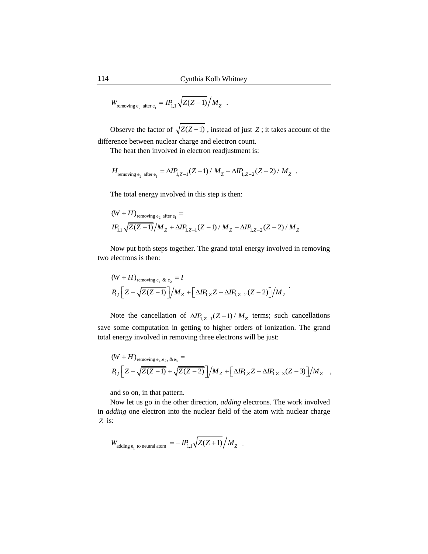$$
W_{\text{removing e}_2 \text{ after } e_1} = IP_{1,1} \sqrt{Z(Z-1)} / M_Z .
$$

Observe the factor of  $\sqrt{Z(Z-1)}$ , instead of just Z; it takes account of the difference between nuclear charge and electron count.

The heat then involved in electron readjustment is:

$$
H_{\text{removing e}_2 \text{ after } e_1} = \Delta I P_{1,Z-1} (Z-1) / M_Z - \Delta I P_{1,Z-2} (Z-2) / M_Z.
$$

The total energy involved in this step is then:  
\n
$$
(W + H)_{\text{removing e}_2 \text{ after } e_1} =
$$
\n
$$
IP_{1,1} \sqrt{Z(Z-1)}/M_Z + \Delta IP_{1,Z-1}(Z-1)/M_Z - \Delta IP_{1,Z-2}(Z-2)/M_Z
$$

Now put both steps together. The grand total energy involved in removing

two electrons is then:  
\n
$$
(W + H)_{\text{removing e_1 \& e_2}} = I
$$
\n
$$
P_{1,1} \Big[ Z + \sqrt{Z(Z-1)} \Big] / M_Z + \Big[ \Delta I P_{1,Z} Z - \Delta I P_{1,Z-2} (Z-2) \Big] / M_Z
$$

Note the cancellation of  $\Delta IP_{1,Z-1}(Z-1)/M_Z$  terms; such cancellations save some computation in getting to higher orders of ionization. The grand

total energy involved in removing three electrons will be just:  
\n
$$
(W + H)_{\text{removing e}_1, e_2, \& e_3} =
$$
\n
$$
P_{1,1} \Big[ Z + \sqrt{Z(Z-1)} + \sqrt{Z(Z-2)} \Big] / M_Z + \Big[ \Delta I P_{1,Z} Z - \Delta I P_{1,Z-3} (Z-3) \Big] / M_Z ,
$$

and so on, in that pattern.

Now let us go in the other direction, *adding* electrons. The work involved in *adding* one electron into the nuclear field of the atom with nuclear charge is: *Z*

$$
W_{\text{adding } e_1 \text{ to neutral atom}} = -\,I\!\!P_{1,1}\sqrt{Z(Z+1)}\Big/M_Z\quad.
$$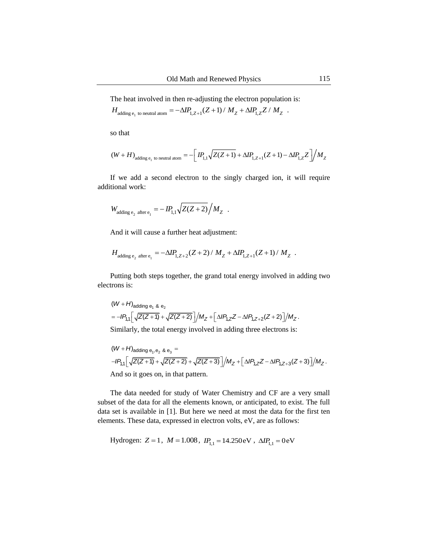The heat involved in then re-adjusting the electron population is:

$$
H_{\text{adding } e_1 \text{ to neutral atom}} = -\Delta IP_{1,Z+1}(Z+1) / M_Z + \Delta IP_{1,Z}Z / M_Z.
$$

so that

$$
(W+H)_{\text{adding }e_1 \text{ to neutral atom}} = -\left[ \text{ } IP_{1,1}\sqrt{Z(Z+1)} + \Delta IP_{1,Z+1}(Z+1) - \Delta IP_{1,Z}Z \right] \text{ } / M_Z
$$

If we add a second electron to the singly charged ion, it will require additional work:

$$
W_{\text{adding } e_2 \text{ after } e_1} = -IP_{1,1} \sqrt{Z(Z+2)} / M_Z.
$$

And it will cause a further heat adjustment:

$$
H_{\text{adding } e_2 \text{ after } e_1} = -\Delta I P_{1,Z+2}(Z+2) / M_Z + \Delta I P_{1,Z+1}(Z+1) / M_Z.
$$

Putting both steps together, the grand total energy involved in adding two electrons is:

$$
(W + H)_{adding e_1 8 e_2}
$$
  
=  $-IP_{1,1} \Big[ \sqrt{Z(Z+1)} + \sqrt{Z(Z+2)} \Big] / M_Z + \Big[ \Delta IP_{1,Z} Z - \Delta IP_{1,Z+2}(Z+2) \Big] / M_Z.$ 

Similarly, the total energy involved in adding three electrons is:  
\n
$$
(W + H)_{\text{adding }e_1, e_2 \& e_3} =
$$
\n
$$
-IP_{1,1} \left[ \sqrt{Z(Z+1)} + \sqrt{Z(Z+2)} + \sqrt{Z(Z+3)} \right] / M_Z + \left[ \Delta IP_{1,Z}Z - \Delta IP_{1,Z+3}(Z+3) \right] / M_Z.
$$
\nAnd so it goes on, in that pattern.

The data needed for study of Water Chemistry and CF are a very small subset of the data for all the elements known, or anticipated, to exist. The full data set is available in [1]. But here we need at most the data for the first ten elements. These data, expressed in electron volts, eV, are as follows:

Hydrogen: 
$$
Z = 1
$$
,  $M = 1.008$ ,  $IP_{1,1} = 14.250 \text{eV}$ ,  $\Delta IP_{1,1} = 0 \text{eV}$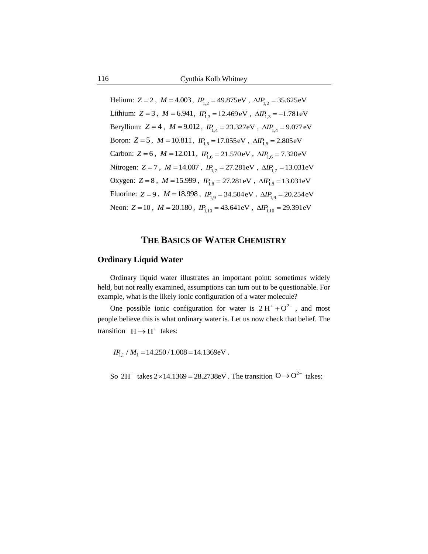Helium:  $Z = 2$ ,  $M = 4.003$ ,  $IP_{1,2} = 49.875 \text{eV}$ ,  $\Delta IP_{1,2} = 35.625 \text{eV}$ Lithium:  $Z = 3$ ,  $M = 6.941$ ,  $IP_{1,3} = 12.469 \text{ eV}$ ,  $\Delta IP_{1,3} = -1.781 \text{ eV}$ Beryllium:  $Z = 4$ ,  $M = 9.012$ ,  $IP_{1,4} = 23.327 \text{eV}$ ,  $\Delta IP_{1,4} = 9.077 \text{eV}$ Boron:  $Z = 5$ ,  $M = 10.811$ ,  $IP_{1,5} = 17.055 \text{eV}$ ,  $\Delta IP_{1,5} = 2.805 \text{eV}$ Carbon:  $Z = 6$ ,  $M = 12.011$ ,  $IP_{1,6} = 21.570 \text{eV}$ ,  $\Delta IP_{1,6} = 7.320 \text{eV}$ Nitrogen:  $Z = 7$ ,  $M = 14.007$ ,  $IP_{1,7} = 27.281 \text{eV}$ ,  $\Delta IP_{1,7} = 13.031 \text{eV}$ Oxygen:  $Z = 8$ ,  $M = 15.999$ ,  $IP_{1,8} = 27.281 \text{eV}$ ,  $\Delta IP_{1,8} = 13.031 \text{eV}$ Fluorine:  $Z = 9$ ,  $M = 18.998$ ,  $IP_{1,9} = 34.504 \text{ eV}$ ,  $\Delta IP_{1,9} = 20.254 \text{ eV}$ Neon:  $Z = 10$ ,  $M = 20.180$ ,  $IP_{1,10} = 43.641 \text{eV}$ ,  $\Delta IP_{1,10} = 29.391 \text{eV}$ 

## **THE BASICS OF WATER CHEMISTRY**

#### **Ordinary Liquid Water**

Ordinary liquid water illustrates an important point: sometimes widely held, but not really examined, assumptions can turn out to be questionable. For example, what is the likely ionic configuration of a water molecule?

One possible ionic configuration for water is  $2H^+ + O^{2-}$ , and most people believe this is what ordinary water is. Let us now check that belief. The transition  $H \rightarrow H^+$  takes:

 $IP_{1,1} / M_1 = 14.250 / 1.008 = 14.1369 \text{eV}$ .

So  $2H^+$  takes  $2 \times 14.1369 = 28.2738$ eV. The transition  $O \rightarrow O^{2-}$  takes: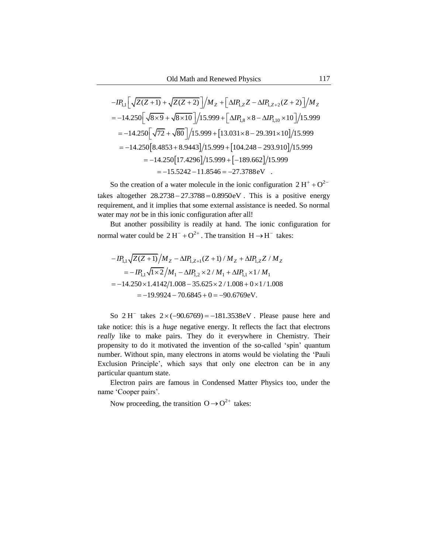$$
OId \text{ Math and Renewed Physics} \qquad 117
$$
  
- $IP_{1,1} \Big[ \sqrt{Z(Z+1)} + \sqrt{Z(Z+2)} \Big] / M_Z + \Big[ \Delta IP_{1,Z} Z - \Delta IP_{1,Z+2} (Z+2) \Big] / M_Z$   
= -14.250  $\Big[ \sqrt{8 \times 9} + \sqrt{8 \times 10} \Big] / 15.999 + \Big[ \Delta IP_{1,8} \times 8 - \Delta IP_{1,10} \times 10 \Big] / 15.999$   
= -14.250  $\Big[ \sqrt{72} + \sqrt{80} \Big] / 15.999 + \Big[ 13.031 \times 8 - 29.391 \times 10 \Big] / 15.999$   
= -14.250  $\Big[ 8.4853 + 8.9443 \Big] / 15.999 + \Big[ 104.248 - 293.910 \Big] / 15.999$   
= -14.250  $\Big[ 17.4296 \Big] / 15.999 + \Big[ -189.662 \Big] / 15.999$   
= -15.5242 - 11.8546 = -27.3788 eV

So the creation of a water molecule in the ionic configuration  $2 H^{+} + O^{2-}$ takes altogether  $28.2738 - 27.3788 = 0.8950 \text{eV}$ . This is a positive energy requirement, and it implies that some external assistance is needed. So normal water may *not* be in this ionic configuration after all!

But another possibility is readily at hand. The ionic configuration for normal water could be  $2H^{-} + O^{2+}$ . The transition  $H \rightarrow H^{-}$  takes:

$$
-IP_{1,1}\sqrt{Z(Z+1)}/M_Z - \Delta IP_{1,Z+1}(Z+1)/M_Z + \Delta IP_{1,Z}Z/M_Z
$$
  
= 
$$
-IP_{1,1}\sqrt{1\times2}/M_1 - \Delta IP_{1,2}\times2/M_1 + \Delta IP_{1,1}\times1/M_1
$$
  
= -14.250×1.4142/1.008 - 35.625×2/1.008 + 0×1/1.008  
= -19.9924 - 70.6845 + 0 = -90.6769eV.

So  $2H^{-}$  takes  $2 \times (-90.6769) = -181.3538 \text{ eV}$ . Please pause here and take notice: this is a *huge* negative energy. It reflects the fact that electrons *really* like to make pairs. They do it everywhere in Chemistry. Their propensity to do it motivated the invention of the so-called "spin" quantum number. Without spin, many electrons in atoms would be violating the "Pauli Exclusion Principle", which says that only one electron can be in any particular quantum state.

Electron pairs are famous in Condensed Matter Physics too, under the name 'Cooper pairs'.

Now proceeding, the transition  $O \rightarrow O^{2+}$  takes: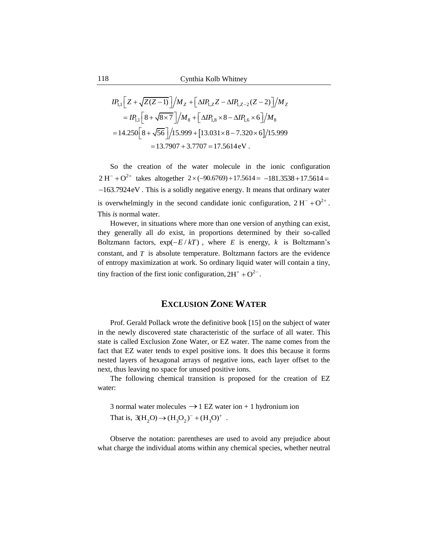$$
IP_{1,1}\left[Z+\sqrt{Z(Z-1)}\right]/M_{Z}+\left[\Delta IP_{1,Z}Z-\Delta IP_{1,Z-2}(Z-2)\right]/M_{Z}
$$
  
= 
$$
IP_{1,1}\left[8+\sqrt{8\times7}\right]/M_{8}+\left[\Delta IP_{1,8}\times8-\Delta IP_{1,6}\times6\right]/M_{8}
$$
  
= 
$$
14.250\left[8+\sqrt{56}\right]/15.999+\left[13.031\times8-7.320\times6\right]/15.999
$$
  
= 13.7907 + 3.7707 = 17.5614 eV.

So the creation of the water molecule in the ionic configuration  $2 H^{-} + O^{2+}$  takes altogether  $2 \times (-90.6769) + 17.5614 = -181.3538 + 17.5614 =$ -163.7924 eV. This is a solidly negative energy. It means that ordinary water is overwhelmingly in the second candidate ionic configuration,  $2H^{-} + O^{2+}$ . This *is* normal water.

However, in situations where more than one version of anything can exist, they generally all *do* exist, in proportions determined by their so-called Boltzmann factors,  $\exp(-E/kT)$ , where E is energy, k is Boltzmann's constant, and  $T$  is absolute temperature. Boltzmann factors are the evidence of entropy maximization at work. So ordinary liquid water will contain a tiny, tiny fraction of the first ionic configuration,  $2H^+ + O^{2-}$ .

## **EXCLUSION ZONE WATER**

Prof. Gerald Pollack wrote the definitive book [15] on the subject of water in the newly discovered state characteristic of the surface of all water. This state is called Exclusion Zone Water, or EZ water. The name comes from the fact that EZ water tends to expel positive ions. It does this because it forms nested layers of hexagonal arrays of negative ions, each layer offset to the next, thus leaving no space for unused positive ions.

The following chemical transition is proposed for the creation of EZ water:

3 normal water molecules  $\rightarrow$  1 EZ water ion + 1 hydronium ion That is,  $3(H_2O) \rightarrow (H_3O_2)^{-} + (H_3O)^{+}$ .

Observe the notation: parentheses are used to avoid any prejudice about what charge the individual atoms within any chemical species, whether neutral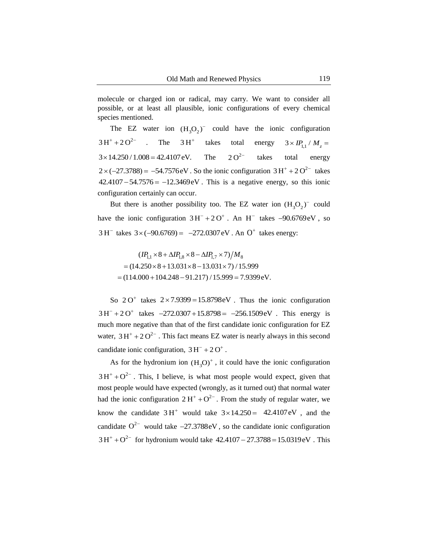molecule or charged ion or radical, may carry. We want to consider all possible, or at least all plausible, ionic configurations of every chemical species mentioned.

The EZ water ion  $(H_3O_2)$ <sup>-</sup> could have the ionic configuration . The  $3H^+$  takes total energy The  $2O^{2-}$  takes total energy  $2 \times (-27.3788) = -54.7576$  eV. So the ionic configuration  $3 H^{+} + 2 O^{2-}$  takes  $42.4107 - 54.7576 = -12.3469eV$ . This is a negative energy, so this ionic configuration certainly can occur.  $3H^+ + 2O^{2-}$  $3H^+$  $3 \times IP_{1,1} / M_z =$  $3 \times 14.250 / 1.008 = 42.4107$  eV.  $2^{\Omega^{-2}}$ 

But there is another possibility too. The EZ water ion  $(H_3O_2)$ <sup>-</sup> could have the ionic configuration  $3H^{-} + 2O^{+}$ . An H<sup>-</sup> takes  $-90.6769$  eV, so  $3 H^{-}$  takes  $3 \times (-90.6769) = -272.0307 \text{ eV}$ . An  $O^{+}$  takes energy:

 $(IP_{1,1} \times 8 + \Delta IP_{1,8} \times 8 - \Delta IP_{1,7} \times 7)/M_8$  $=(14.250\times 8 + 13.031\times 8 - 13.031\times 7)/15.999$  $=(14.250 \times 8 + 13.031 \times 8 - 13.031 \times 7)/15.999$ <br>=  $(114.000 + 104.248 - 91.217)/15.999 = 7.9399eV.$  $(IP_{1,1} \times 8 + \Delta IP_{1,8} \times 8 - \Delta IP_{1,7} \times 7)/M_8$ <br>= (14.250 × 8 + 13.031 × 8 - 13.031 × 7) / 15.

So  $2O^+$  takes  $2 \times 7.9399 = 15.8798 \text{eV}$ . Thus the ionic configuration  $3 H^{-} + 2 O^{+}$  takes  $-272.0307 + 15.8798 = -256.1509$  eV. This energy is much more negative than that of the first candidate ionic configuration for EZ water,  $3H^+ + 2O^{2-}$ . This fact means EZ water is nearly always in this second candidate ionic configuration,  $3H^- + 2O^+$ .

As for the hydronium ion  $(H_3O)^+$ , it could have the ionic configuration  $3H^+ + O^{2-}$ . This, I believe, is what most people would expect, given that most people would have expected (wrongly, as it turned out) that normal water had the ionic configuration  $2H^+ + O^{2-}$ . From the study of regular water, we know the candidate  $3H^+$  would take  $3 \times 14.250 = 42.4107$  eV, and the candidate  $O^{2-}$  would take  $-27.3788$ eV, so the candidate ionic configuration  $3 H^{+} + O^{2-}$  for hydronium would take  $42.4107 - 27.3788 = 15.0319 \text{ eV}$ . This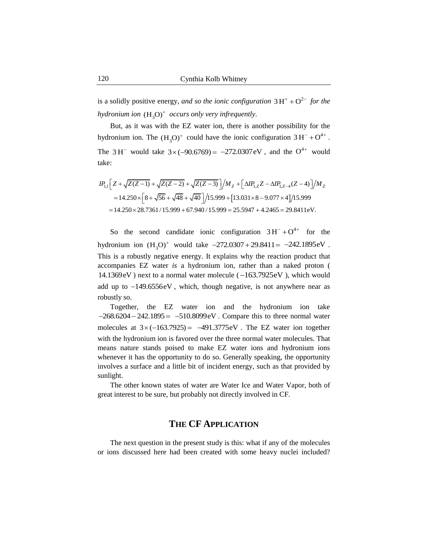is a solidly positive energy, *and so the ionic configuration*  $3H^+ + O^{2-}$  *for the hydronium ion*  $(H_3O)^+$  *occurs only very infrequently.* 

But, as it was with the EZ water ion, there is another possibility for the hydronium ion. The  $(H_3O)^+$  could have the ionic configuration  $3H^- + O^{4+}$ . The 3H<sup>-</sup> would take  $3 \times (-90.6769) = -272.0307$  eV, and the O<sup>4+</sup> would take:

$$
IR_{1,1}\left[Z+\sqrt{Z(Z-1)}+\sqrt{Z(Z-2)}+\sqrt{Z(Z-3)}\right]/M_{Z}+\left[\Delta IP_{1,Z}Z-\Delta IP_{1,Z-4}(Z-4)\right]/M_{Z}
$$
  
=14.250× $\left[8+\sqrt{56}+\sqrt{48}+\sqrt{40}\right]/15.999+\left[13.031\times8-9.077\times4\right]/15.999$   
=14.250×28.7361/15.999+67.940/15.999 = 25.5947 + 4.2465 = 29.8411eV.

So the second candidate ionic configuration  $3H^- + O^{4+}$  for the hydronium ion  $(H_3O)^+$  would take  $-272.0307 + 29.8411 = -242.1895eV$ . This is a robustly negative energy. It explains why the reaction product that accompanies EZ water *is* a hydronium ion, rather than a naked proton (  $14.1369$ eV) next to a normal water molecule ( $-163.7925$ eV), which would add up to  $-149.6556$ eV, which, though negative, is not anywhere near as robustly so.

Together, the EZ water ion and the hydronium ion take  $-268.6204 - 242.1895 = -510.8099$ eV. Compare this to three normal water molecules at  $3 \times (-163.7925) = -491.3775$ eV. The EZ water ion together with the hydronium ion is favored over the three normal water molecules. That means nature stands poised to make EZ water ions and hydronium ions whenever it has the opportunity to do so. Generally speaking, the opportunity involves a surface and a little bit of incident energy, such as that provided by sunlight.

The other known states of water are Water Ice and Water Vapor, both of great interest to be sure, but probably not directly involved in CF.

## **THE CF APPLICATION**

The next question in the present study is this: what if any of the molecules or ions discussed here had been created with some heavy nuclei included?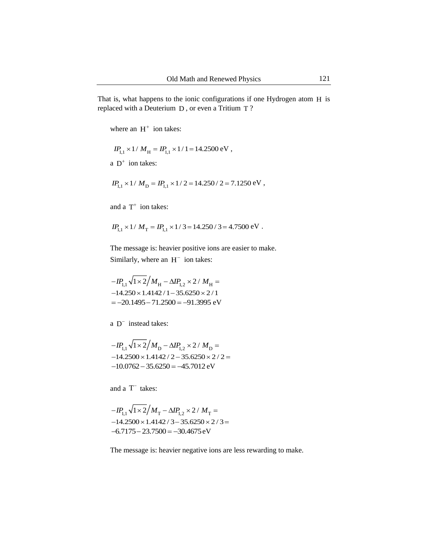That is, what happens to the ionic configurations if one Hydrogen atom H is replaced with a Deuterium  $D$ , or even a Tritium  $T$ ?

where an  $H^+$  ion takes:

$$
I P_{1,1} \times 1 / M_{\rm H} = I P_{1,1} \times 1 / 1 = 14.2500 \, \text{eV} ,
$$

a  $D^+$  ion takes:

$$
IP_{1,1} \times 1/M_D = IP_{1,1} \times 1/2 = 14.250 / 2 = 7.1250 \text{ eV},
$$

and a  $T^+$  ion takes:

$$
IP_{1,1} \times 1/M_T = IP_{1,1} \times 1/3 = 14.250 / 3 = 4.7500 \text{ eV}.
$$

The message is: heavier positive ions are easier to make. Similarly, where an  $H^-$  ion takes:

$$
-IP_{1,1}\sqrt{1 \times 2}/M_{\text{H}} - \Delta IP_{1,2} \times 2/M_{\text{H}} =
$$
  
-14.250 × 1.4142 / 1 – 35.6250 × 2 / 1  
= -20.1495 – 71.2500 = -91.3995 eV

 $a$  D<sup>-</sup> instead takes:

$$
-IP_{1,1}\sqrt{1 \times 2}/M_{\text{D}} - \Delta IP_{1,2} \times 2 / M_{\text{D}} =
$$
  
-14.2500 × 1.4142 / 2 - 35.6250 × 2 / 2 =  
-10.0762 - 35.6250 = -45.7012 eV

and a  $T^-$  takes:

$$
-IP_{1,1}\sqrt{1 \times 2}/M_{\rm T} - \Delta IP_{1,2} \times 2 / M_{\rm T} =
$$
  
-14.2500 × 1.4142 / 3 - 35.6250 × 2 / 3 =  
-6.7175 - 23.7500 = -30.4675 eV

The message is: heavier negative ions are less rewarding to make.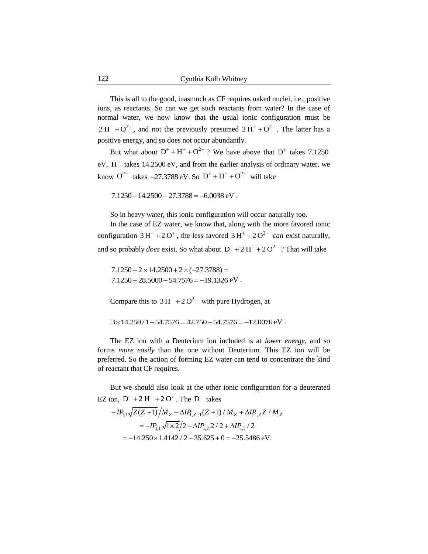This is all to the good, inasmuch as CF requires naked nuclei, i.e., positive ions, as reactants. So can we get such reactants from water? In the case of normal water, we now know that the usual ionic configuration must be  $2 H^{-} + O^{2+}$ , and not the previously presumed  $2 H^{+} + O^{2-}$ . The latter has a positive energy, and so does not occur abundantly.

But what about  $D^+ + H^+ + O^{2-}$ ? We have above that  $D^+$  takes 7.1250  $eV$ ,  $H^+$  takes 14.2500  $eV$ , and from the earlier analysis of ordinary water, we know  $O^{2-}$  takes  $-27.3788 \text{ eV}$ . So  $D^+ + H^+ + O^{2-}$  will take

 $7.1250 + 14.2500 - 27.3788 = -6.0038$  eV.

So in heavy water, this ionic configuration will occur naturally too.

In the case of EZ water, we know that, along with the more favored ionic configuration  $3H^{-} + 2O^{+}$ , the less favored  $3H^{+} + 2O^{2-}$  *can* exist naturally, and so probably *does* exist. So what about  $D^+ + 2H^+ + 2O^{2-}$ ? That will take

 $7.1250 + 28.5000 - 54.7576 = -19.1326$  eV.  $7.1250 + 2 \times 14.2500 + 2 \times (-27.3788) =$ 

Compare this to  $3H^+ + 2O^{2-}$  with pure Hydrogen, at

 $3 \times 14.250 / 1 - 54.7576 = 42.750 - 54.7576 = -12.0076 \text{ eV}.$ 

The EZ ion with a Deuterium ion included is at *lower energy*, and so forms *more easily* than the one without Deuterium. This EZ ion will be preferred. So the action of forming EZ water can tend to concentrate the kind of reactant that CF requires.

But we should also look at the other ionic configuration for a deuterated

EZ ion, D<sup>-</sup> + 2 H<sup>-</sup> + 2 O<sup>+</sup>. The D<sup>-</sup> takes  
\n
$$
-IP_{1,1}\sqrt{Z(Z+1)}/M_Z - \Delta IP_{1,Z+1}(Z+1)/M_Z + \Delta IP_{1,Z}Z/M_Z
$$
\n
$$
= -IP_{1,1}\sqrt{1 \times 2}/2 - \Delta IP_{1,2} 2/2 + \Delta IP_{1,1}/2
$$
\n
$$
= -14.250 \times 1.4142 / 2 - 35.625 + 0 = -25.5486 \text{ eV}.
$$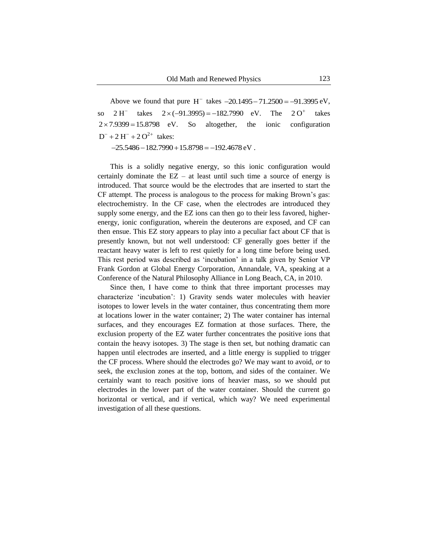Above we found that pure  $H^-$  takes  $-20.1495 - 71.2500 = -91.3995 \text{ eV}$ , so  $2 \text{ H}^-$  takes  $2 \times (-91.3995) = -182.7990 \text{ eV}$ . The  $2 \text{ O}^+$  takes So altogether, the ionic configuration  $D^- + 2 H^- + 2 O^{2+}$  takes:  $2H^{-}$  $2O<sup>+</sup>$  takes  $2 \times 7.9399 = 15.8798$  eV.

 $-25.5486 - 182.7990 + 15.8798 = -192.4678$  eV.

This is a solidly negative energy, so this ionic configuration would certainly dominate the  $EZ - at least until such time a source of energy is$ introduced. That source would be the electrodes that are inserted to start the CF attempt. The process is analogous to the process for making Brown"s gas: electrochemistry. In the CF case, when the electrodes are introduced they supply some energy, and the EZ ions can then go to their less favored, higherenergy, ionic configuration, wherein the deuterons are exposed, and CF can then ensue. This EZ story appears to play into a peculiar fact about CF that is presently known, but not well understood: CF generally goes better if the reactant heavy water is left to rest quietly for a long time before being used. This rest period was described as 'incubation' in a talk given by Senior VP Frank Gordon at Global Energy Corporation, Annandale, VA, speaking at a Conference of the Natural Philosophy Alliance in Long Beach, CA, in 2010.

Since then, I have come to think that three important processes may characterize "incubation": 1) Gravity sends water molecules with heavier isotopes to lower levels in the water container, thus concentrating them more at locations lower in the water container; 2) The water container has internal surfaces, and they encourages EZ formation at those surfaces. There, the exclusion property of the EZ water further concentrates the positive ions that contain the heavy isotopes. 3) The stage is then set, but nothing dramatic can happen until electrodes are inserted, and a little energy is supplied to trigger the CF process. Where should the electrodes go? We may want to avoid, *or* to seek, the exclusion zones at the top, bottom, and sides of the container. We certainly want to reach positive ions of heavier mass, so we should put electrodes in the lower part of the water container. Should the current go horizontal or vertical, and if vertical, which way? We need experimental investigation of all these questions.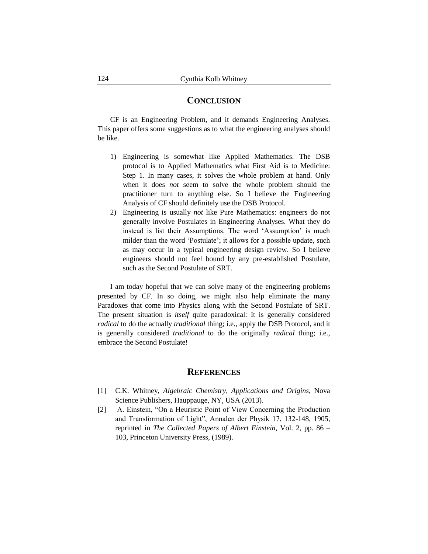#### **CONCLUSION**

CF is an Engineering Problem, and it demands Engineering Analyses. This paper offers some suggestions as to what the engineering analyses should be like.

- 1) Engineering is somewhat like Applied Mathematics. The DSB protocol is to Applied Mathematics what First Aid is to Medicine: Step 1. In many cases, it solves the whole problem at hand. Only when it does *not* seem to solve the whole problem should the practitioner turn to anything else. So I believe the Engineering Analysis of CF should definitely use the DSB Protocol.
- 2) Engineering is usually *not* like Pure Mathematics: engineers do not generally involve Postulates in Engineering Analyses. What they do instead is list their Assumptions. The word 'Assumption' is much milder than the word 'Postulate'; it allows for a possible update, such as may occur in a typical engineering design review. So I believe engineers should not feel bound by any pre-established Postulate, such as the Second Postulate of SRT.

I am today hopeful that we can solve many of the engineering problems presented by CF. In so doing, we might also help eliminate the many Paradoxes that come into Physics along with the Second Postulate of SRT. The present situation is *itself* quite paradoxical: It is generally considered *radical* to do the actually *traditional* thing; i.e., apply the DSB Protocol, and it is generally considered *traditional* to do the originally *radical* thing; i.e., embrace the Second Postulate!

#### **REFERENCES**

- [1] C.K. Whitney, *Algebraic Chemistry, Applications and Origins*, Nova Science Publishers, Hauppauge, NY, USA (2013).
- [2] A. Einstein, "On a Heuristic Point of View Concerning the Production and Transformation of Light", Annalen der Physik 17, 132-148, 1905, reprinted in *The Collected Papers of Albert Einstein*, Vol. 2, pp. 86 – 103, Princeton University Press, (1989).